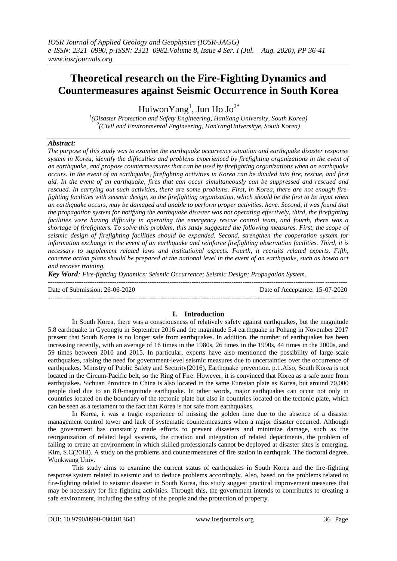# **Theoretical research on the Fire-Fighting Dynamics and Countermeasures against Seismic Occurrence in South Korea**

Huiwon $Yang<sup>1</sup>$ , Jun Ho Jo<sup>2\*</sup>

*1 (Disaster Protection and Safety Engineering, HanYang University, South Korea) 2 (Civil and Environmental Engineering, HanYangUniversitye, South Korea)*

# *Abstract:*

*The purpose of this study was to examine the earthquake occurrence situation and earthquake disaster response system in Korea, identify the difficulties and problems experienced by firefighting organizations in the event of an earthquake, and propose countermeasures that can be used by firefighting organizations when an earthquake occurs. In the event of an earthquake, firefighting activities in Korea can be divided into fire, rescue, and first aid. In the event of an earthquake, fires that can occur simultaneously can be suppressed and rescued and rescued. In carrying out such activities, there are some problems. First, in Korea, there are not enough firefighting facilities with seismic design, so the firefighting organization, which should be the first to be input when an earthquake occurs, may be damaged and unable to perform proper activities. have. Second, it was found that the propagation system for notifying the earthquake disaster was not operating effectively, third, the firefighting facilities were having difficulty in operating the emergency rescue control team, and fourth, there was a shortage of firefighters. To solve this problem, this study suggested the following measures. First, the scope of seismic design of firefighting facilities should be expanded. Second, strengthen the cooperation system for information exchange in the event of an earthquake and reinforce firefighting observation facilities. Third, it is necessary to supplement related laws and institutional aspects. Fourth, it recruits related experts. Fifth, concrete action plans should be prepared at the national level in the event of an earthquake, such as howto act and recover training.*

*Key Word: Fire-fighting Dynamics; Seismic Occurrence; Seismic Design; Propagation System.*

--------------------------------------------------------------------------------------------------------------------------------------- Date of Submission: 26-06-2020 Date of Acceptance: 15-07-2020 ---------------------------------------------------------------------------------------------------------------------------------------

# **I. Introduction**

In South Korea, there was a consciousness of relatively safety against earthquakes, but the magnitude 5.8 earthquake in Gyeongju in September 2016 and the magnitude 5.4 earthquake in Pohang in November 2017 present that South Korea is no longer safe from earthquakes. In addition, the number of earthquakes has been increasing recently, with an average of 16 times in the 1980s, 26 times in the 1990s, 44 times in the 2000s, and 59 times between 2010 and 2015. In particular, experts have also mentioned the possibility of large-scale earthquakes, raising the need for government-level seismic measures due to uncertainties over the occurrence of earthquakes. Ministry of Public Safety and Security(2016), Earthquake prevention. p.1.Also, South Korea is not located in the Circum-Pacific belt, so the Ring of Fire. However, it is convinced that Korea as a safe zone from earthquakes. Sichuan Province in China is also located in the same Eurasian plate as Korea, but around 70,000 people died due to an 8.0-magnitude earthquake. In other words, major earthquakes can occur not only in countries located on the boundary of the tectonic plate but also in countries located on the tectonic plate, which can be seen as a testament to the fact that Korea is not safe from earthquakes.

In Korea, it was a tragic experience of missing the golden time due to the absence of a disaster management control tower and lack of systematic countermeasures when a major disaster occurred. Although the government has constantly made efforts to prevent disasters and minimize damage, such as the reorganization of related legal systems, the creation and integration of related departments, the problem of failing to create an environment in which skilled professionals cannot be deployed at disaster sites is emerging. Kim, S.C(2018). A study on the problems and countermeasures of fire station in earthquak. The doctoral degree. Wonkwang Univ.

This study aims to examine the current status of earthquakes in South Korea and the fire-fighting response system related to seismic and to deduce problems accordingly. Also, based on the problems related to fire-fighting related to seismic disaster in South Korea, this study suggest practical improvement measures that may be necessary for fire-fighting activities. Through this, the government intends to contributes to creating a safe environment, including the safety of the people and the protection of property.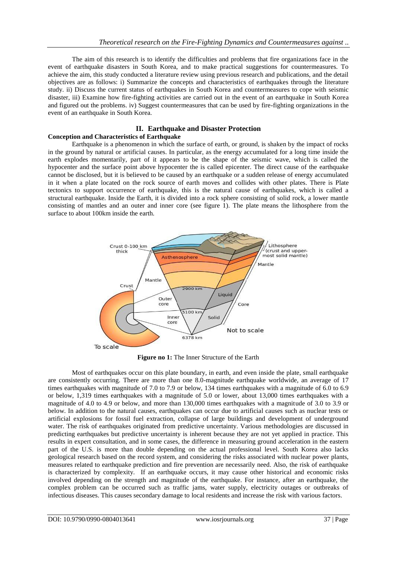The aim of this research is to identify the difficulties and problems that fire organizations face in the event of earthquake disasters in South Korea, and to make practical suggestions for countermeasures. To achieve the aim, this study conducted a literature review using previous research and publications, and the detail objectives are as follows: i) Summarize the concepts and characteristics of earthquakes through the literature study. ii) Discuss the current status of earthquakes in South Korea and countermeasures to cope with seismic disaster, iii) Examine how fire-fighting activities are carried out in the event of an earthquake in South Korea and figured out the problems. iv) Suggest countermeasures that can be used by fire-fighting organizations in the event of an earthquake in South Korea.

# **II. Earthquake and Disaster Protection**

## **Conception and Characteristics of Earthquake**

Earthquake is a phenomenon in which the surface of earth, or ground, is shaken by the impact of rocks in the ground by natural or artificial causes. In particular, as the energy accumulated for a long time inside the earth explodes momentarily, part of it appears to be the shape of the seismic wave, which is called the hypocenter and the surface point above hypocenter the is called epicenter. The direct cause of the earthquake cannot be disclosed, but it is believed to be caused by an earthquake or a sudden release of energy accumulated in it when a plate located on the rock source of earth moves and collides with other plates. There is Plate tectonics to support occurrence of earthquake, this is the natural cause of earthquakes, which is called a structural earthquake. Inside the Earth, it is divided into a rock sphere consisting of solid rock, a lower mantle consisting of mantles and an outer and inner core (see figure 1). The plate means the lithosphere from the surface to about 100km inside the earth.



**Figure no 1:** The Inner Structure of the Earth

Most of earthquakes occur on this plate boundary, in earth, and even inside the plate, small earthquake are consistently occurring. There are more than one 8.0-magnitude earthquake worldwide, an average of 17 times earthquakes with magnitude of 7.0 to 7.9 or below, 134 times earthquakes with a magnitude of 6.0 to 6.9 or below, 1,319 times earthquakes with a magnitude of 5.0 or lower, about 13,000 times earthquakes with a magnitude of 4.0 to 4.9 or below, and more than 130,000 times earthquakes with a magnitude of 3.0 to 3.9 or below. In addition to the natural causes, earthquakes can occur due to artificial causes such as nuclear tests or artificial explosions for fossil fuel extraction, collapse of large buildings and development of underground water. The risk of earthquakes originated from predictive uncertainty. Various methodologies are discussed in predicting earthquakes but predictive uncertainty is inherent because they are not yet applied in practice. This results in expert consultation, and in some cases, the difference in measuring ground acceleration in the eastern part of the U.S. is more than double depending on the actual professional level. South Korea also lacks geological research based on the record system, and considering the risks associated with nuclear power plants, measures related to earthquake prediction and fire prevention are necessarily need. Also, the risk of earthquake is characterized by complexity. If an earthquake occurs, it may cause other historical and economic risks involved depending on the strength and magnitude of the earthquake. For instance, after an earthquake, the complex problem can be occurred such as traffic jams, water supply, electricity outages or outbreaks of infectious diseases. This causes secondary damage to local residents and increase the risk with various factors.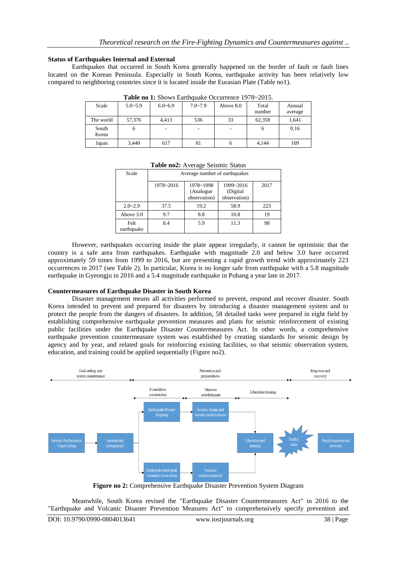## **Status of Earthquakes Internal and External**

Earthquakes that occurred in South Korea generally happened on the border of fault or fault lines located on the Korean Peninsula. Especially in South Korea, earthquake activity has been relatively low compared to neighboring countries since it is located inside the Eurasian Plate (Table no1).

| <b>THUIC IIO II</b> DHOWS DUITHQUING OCCULIONCY 1770 EVID. |             |             |             |           |                 |                   |  |  |
|------------------------------------------------------------|-------------|-------------|-------------|-----------|-----------------|-------------------|--|--|
| Scale                                                      | $5.0 - 5.9$ | $6.0 - 6.9$ | $7.0 - 7.9$ | Above 8.0 | Total<br>number | Annual<br>average |  |  |
| The world                                                  | 57,376      | 4.413       | 536         | 33        | 62.358          | 1.641             |  |  |
| South<br>Korea                                             | o           |             | ۰           |           |                 | 0.16              |  |  |
| Japan                                                      | 3,440       | 617         | 81          | O         | 4,144           | 109               |  |  |

Table no 1: Shows Earthquake Occurrence 1978~2015

| Scale              | Average number of earthquakes |                                         |                                        |      |  |  |
|--------------------|-------------------------------|-----------------------------------------|----------------------------------------|------|--|--|
|                    | 1978~2016                     | 1978~1998<br>(Analogue)<br>observation) | 1999~2016<br>(Digital)<br>observation) | 2017 |  |  |
| $2.0 - 2.9$        | 37.5                          | 19.2                                    | 58.9                                   | 223  |  |  |
| Above 3.0          | 9.7                           | 8.8                                     | 10.8                                   | 19   |  |  |
| Felt<br>earthquake | 8.4                           | 5.9                                     | 11.3                                   | 98   |  |  |

**Table no2:** Average Seismic Status

However, earthquakes occurring inside the plate appear irregularly, it cannot be optimistic that the country is a safe area from earthquakes. Earthquake with magnitude 2.0 and below 3.0 have occurred approximately 59 times from 1999 to 2016, but are presenting a rapid growth trend with approximately 223 occurrences in 2017 (see Table 2). In particular, Korea is no longer safe from earthquake with a 5.8 magnitude earthquake in Gyeongju in 2016 and a 5.4 magnitude earthquake in Pohang a year late in 2017.

#### **Countermeasures of Earthquake Disaster in South Korea**

Disaster management means all activities performed to prevent, respond and recover disaster. South Korea intended to prevent and prepared for disasters by introducing a disaster management system and to protect the people from the dangers of disasters. In addition, 58 detailed tasks were prepared in eight field by establishing comprehensive earthquake prevention measures and plans for seismic reinforcement of existing public facilities under the Earthquake Disaster Countermeasures Act. In other words, a comprehensive earthquake prevention countermeasure system was established by creating standards for seismic design by agency and by year, and related goals for reinforcing existing facilities, so that seismic observation system, education, and training could be applied sequentially (Figure no2).



**Figure no 2:** Comprehensive Earthquake Disaster Prevention System Diagram

Meanwhile, South Korea revised the "Earthquake Disaster Countermeasures Act" in 2016 to the "Earthquake and Volcanic Disaster Prevention Measures Act" to comprehensively specify prevention and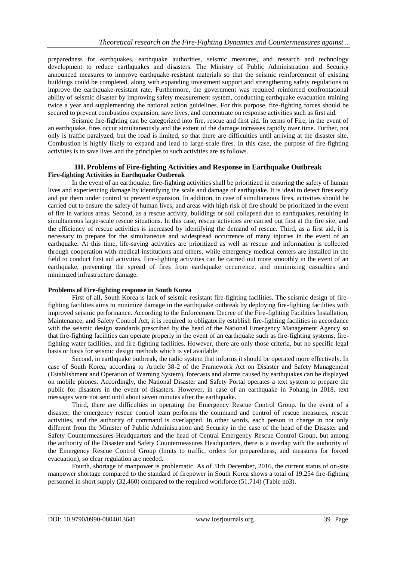preparedness for earthquakes, earthquake authorities, seismic measures, and research and technology development to reduce earthquakes and disasters. The Ministry of Public Administration and Security announced measures to improve earthquake-resistant materials so that the seismic reinforcement of existing buildings could be completed, along with expanding investment support and strengthening safety regulations to improve the earthquake-resistant rate. Furthermore, the government was required reinforced confrontational ability of seismic disaster by improving safety measurement system, conducting earthquake evacuation training twice a year and supplementing the national action guidelines. For this purpose, fire-fighting forces should be secured to prevent combustion expansion, save lives, and concentrate on response activities such as first aid.

Seismic fire-fighting can be categorized into fire, rescue and first aid. In terms of Fire, in the event of an earthquake, fires occur simultaneously and the extent of the damage increases rapidly over time. Further, not only is traffic paralyzed, but the road is limited, so that there are difficulties until arriving at the disaster site. Combustion is highly likely to expand and lead to large-scale fires. In this case, the purpose of fire-fighting activities is to save lives and the principles to such activities are as follows.

# **III. Problems of Fire-fighting Activities and Response in Earthquake Outbreak Fire-fighting Activities in Earthquake Outbreak**

In the event of an earthquake, fire-fighting activities shall be prioritized in ensuring the safety of human lives and experiencing damage by identifying the scale and damage of earthquake. It is ideal to detect fires early and put them under control to prevent expansion. In addition, in case of simultaneous fires, activities should be carried out to ensure the safety of human lives, and areas with high risk of fire should be prioritized in the event of fire in various areas. Second, as a rescue activity, buildings or soil collapsed due to earthquakes, resulting in simultaneous large-scale rescue situations. In this case, rescue activities are carried out first at the fire site, and the efficiency of rescue activities is increased by identifying the demand of rescue. Third, as a first aid, it is necessary to prepare for the simultaneous and widespread occurrence of many injuries in the event of an earthquake. At this time, life-saving activities are prioritized as well as rescue and information is collected through cooperation with medical institutions and others, while emergency medical centers are installed in the field to conduct first aid activities. Fire-fighting activities can be carried out more smoothly in the event of an earthquake, preventing the spread of fires from earthquake occurrence, and minimizing casualties and minimized infrastructure damage.

## **Problems of Fire-fighting response in South Korea**

First of all, South Korea is lack of seismic-resistant fire-fighting facilities. The seismic design of firefighting facilities aims to minimize damage in the earthquake outbreak by deploying fire-fighting facilities with improved seismic performance. According to the Enforcement Decree of the Fire-fighting Facilities Installation, Maintenance, and Safety Control Act, it is required to obligatorily establish fire-fighting facilities in accordance with the seismic design standards prescribed by the head of the National Emergency Management Agency so that fire-fighting facilities can operate properly in the event of an earthquake such as fire-fighting systems, firefighting water facilities, and fire-fighting facilities. However, there are only those criteria, but no specific legal basis or basis for seismic design methods which is yet available.

Second, in earthquake outbreak, the radio system that informs it should be operated more effectively. In case of South Korea, according to Article 38-2 of the Framework Act on Disaster and Safety Management (Establishment and Operation of Warning System), forecasts and alarms caused by earthquakes can be displayed on mobile phones. Accordingly, the National Disaster and Safety Portal operates a text system to prepare the public for disasters in the event of disasters. However, in case of an earthquake in Pohang in 2018, text messages were not sent until about seven minutes after the earthquake.

Third, there are difficulties in operating the Emergency Rescue Control Group. In the event of a disaster, the emergency rescue control team performs the command and control of rescue measures, rescue activities, and the authority of command is overlapped. In other words, each person in charge in not only different from the Minister of Public Administration and Security in the case of the head of the Disaster and Safety Countermeasures Headquarters and the head of Central Emergency Rescue Control Group, but among the authority of the Disaster and Safety Countermeasures Headquarters, there is a overlap with the authority of the Emergency Rescue Control Group (limits to traffic, orders for preparedness, and measures for forced evacuation), so clear regulation are needed.

Fourth, shortage of manpower is problematic. As of 31th December, 2016, the current status of on-site manpower shortage compared to the standard of firepower in South Korea shows a total of 19,254 fire-fighting personnel in short supply (32,460) compared to the required workforce (51,714) (Table no3).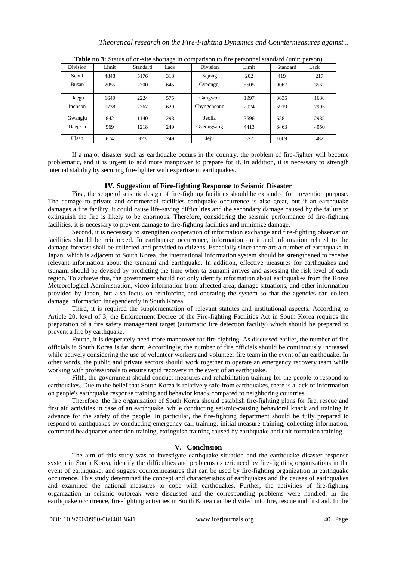|              |       |          | - 0  |             |       |          | $\overline{\phantom{a}}$ |
|--------------|-------|----------|------|-------------|-------|----------|--------------------------|
| Division     | Limit | Standard | Lack | Division    | Limit | Standard | Lack                     |
| Seoul        | 4848  | 5176     | 318  | Sejong      | 202   | 419      | 217                      |
| <b>Busan</b> | 2055  | 2700     | 645  | Gyeonggi    | 5505  | 9067     | 3562                     |
| Daegu        | 1649  | 2224     | 575  | Gangwon     | 1997  | 3635     | 1638                     |
| Incheon      | 1738  | 2367     | 629  | Chyngcheong | 2924  | 5919     | 2995                     |
| Gwangju      | 842   | 1140     | 298  | Jeolla      | 3596  | 6581     | 2985                     |
| Daejeon      | 969   | 1218     | 249  | Gyeongsang  | 4413  | 8463     | 4050                     |
| Ulsan        | 674   | 923      | 249  | Jeju        | 527   | 1009     | 482                      |

**Table no 3:** Status of on-site shortage in comparison to fire personnel standard (unit: person)

If a major disaster such as earthquake occurs in the country, the problem of fire-fighter will become problematic, and it is urgent to add more manpower to prepare for it. In addition, it is necessary to strength internal stability by securing fire-fighter with expertise in earthquakes.

# **IV. Suggestion of Fire-fighting Response to Seismic Disaster**

First, the scope of seismic design of fire-fighting facilities should be expanded for prevention purpose. The damage to private and commercial facilities earthquake occurrence is also great, but if an earthquake damages a fire facility, it could cause life-saving difficulties and the secondary damage caused by the failure to extinguish the fire is likely to be enormous. Therefore, considering the seismic performance of fire-fighting facilities, it is necessary to prevent damage to fire-fighting facilities and minimize damage.

Second, it is necessary to strengthen cooperation of information exchange and fire-fighting observation facilities should be reinforced. In earthquake occurrence, information on it and information related to the damage forecast shall be collected and provided to citizens. Especially since there are a number of earthquake in Japan, which is adjacent to South Korea, the international information system should be strengthened to receive relevant information about the tsunami and earthquake. In addition, effective measures for earthquakes and tsunami should be devised by predicting the time when ta tsunami arrives and assessing the risk level of each region. To achieve this, the government should not only identify information about earthquakes from the Korea Meteorological Administration, video information from affected area, damage situations, and other information provided by Japan, but also focus on reinforcing and operating the system so that the agencies can collect damage information independently in South Korea.

Third, it is required the supplementation of relevant statutes and institutional aspects. According to Article 20, level of 3, the Enforcement Decree of the Fire-fighting Facilities Act in South Korea requires the preparation of a fire safety management target (automatic fire detection facility) which should be prepared to prevent a fire by earthquake.

Fourth, it is desperately need more manpower for fire-fighting. As discussed earlier, the number of fire officials in South Korea is far short. Accordingly, the number of fire officials should be continuously increased while actively considering the use of volunteer workers and volunteer fire team in the event of an earthquake. In other words, the public and private sectors should work together to operate an emergency recovery team while working with professionals to ensure rapid recovery in the event of an earthquake.

Fifth, the government should conduct measures and rehabilitation training for the people to respond to earthquakes. Due to the belief that South Korea is relatively safe from earthquakes, there is a lack of information on people's earthquake response training and behavior knack compared to neighboring countries.

Therefore, the fire organization of South Korea should establish fire-fighting plans for fire, rescue and first aid activities in case of an earthquake, while conducting seismic-causing behavioral knack and training in advance for the safety of the people. In particular, the fire-fighting department should be fully prepared to respond to earthquakes by conducting emergency call training, initial measure training, collecting information, command headquarter operation training, extinguish training caused by earthquake and unit formation training.

## **V. Conclusion**

The aim of this study was to investigate earthquake situation and the earthquake disaster response system in South Korea, identify the difficulties and problems experienced by fire-fighting organizations in the event of earthquake, and suggest countermeasures that can be used by fire-fighting organization in earthquake occurrence. This study determined the concept and characteristics of earthquakes and the causes of earthquakes and examined the national measures to cope with earthquakes. Further, the activities of fire-fighting organization in seismic outbreak were discussed and the corresponding problems were handled. In the earthquake occurrence, fire-fighting activities in South Korea can be divided into fire, rescue and first aid. In the